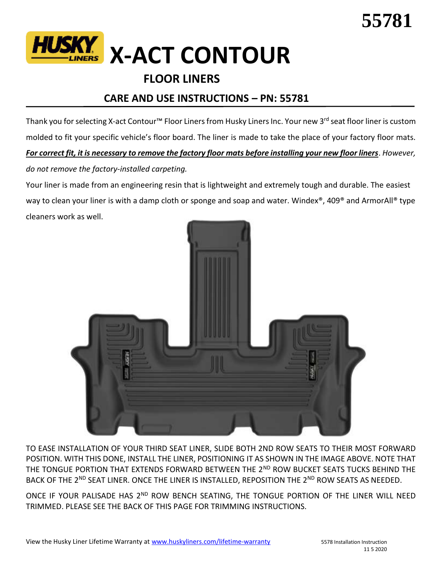

## **FLOOR LINERS**

## **CARE AND USE INSTRUCTIONS – PN: 55781**

Thank you for selecting X-act Contour™ Floor Liners from Husky Liners Inc. Your new 3<sup>rd</sup> seat floor liner is custom molded to fit your specific vehicle's floor board. The liner is made to take the place of your factory floor mats. *For correct fit, it is necessary to remove the factory floor mats before installing your new floor liners*. *However, do not remove the factory-installed carpeting.*

Your liner is made from an engineering resin that is lightweight and extremely tough and durable. The easiest way to clean your liner is with a damp cloth or sponge and soap and water. Windex<sup>®</sup>, 409<sup>®</sup> and ArmorAll<sup>®</sup> type cleaners work as well.



TO EASE INSTALLATION OF YOUR THIRD SEAT LINER, SLIDE BOTH 2ND ROW SEATS TO THEIR MOST FORWARD POSITION. WITH THIS DONE, INSTALL THE LINER, POSITIONING IT AS SHOWN IN THE IMAGE ABOVE. NOTE THAT THE TONGUE PORTION THAT EXTENDS FORWARD BETWEEN THE 2ND ROW BUCKET SEATS TUCKS BEHIND THE BACK OF THE 2<sup>ND</sup> SEAT LINER. ONCE THE LINER IS INSTALLED, REPOSITION THE 2<sup>ND</sup> ROW SEATS AS NEEDED.

ONCE IF YOUR PALISADE HAS 2<sup>ND</sup> ROW BENCH SEATING, THE TONGUE PORTION OF THE LINER WILL NEED TRIMMED. PLEASE SEE THE BACK OF THIS PAGE FOR TRIMMING INSTRUCTIONS.